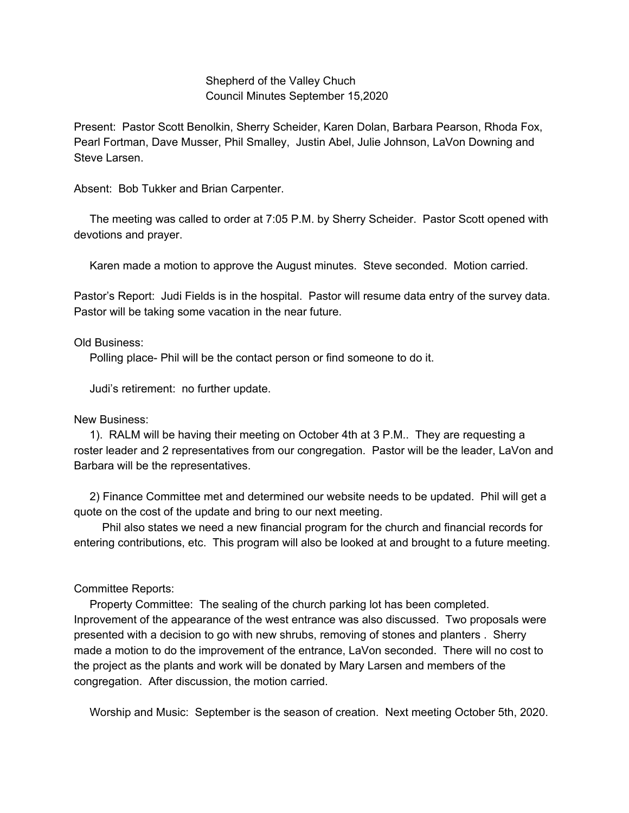## Shepherd of the Valley Chuch Council Minutes September 15,2020

Present: Pastor Scott Benolkin, Sherry Scheider, Karen Dolan, Barbara Pearson, Rhoda Fox, Pearl Fortman, Dave Musser, Phil Smalley, Justin Abel, Julie Johnson, LaVon Downing and Steve Larsen.

Absent: Bob Tukker and Brian Carpenter.

The meeting was called to order at 7:05 P.M. by Sherry Scheider. Pastor Scott opened with devotions and prayer.

Karen made a motion to approve the August minutes. Steve seconded. Motion carried.

Pastor's Report: Judi Fields is in the hospital. Pastor will resume data entry of the survey data. Pastor will be taking some vacation in the near future.

## Old Business:

Polling place- Phil will be the contact person or find someone to do it.

Judi's retirement: no further update.

## New Business:

1). RALM will be having their meeting on October 4th at 3 P.M.. They are requesting a roster leader and 2 representatives from our congregation. Pastor will be the leader, LaVon and Barbara will be the representatives.

2) Finance Committee met and determined our website needs to be updated. Phil will get a quote on the cost of the update and bring to our next meeting.

Phil also states we need a new financial program for the church and financial records for entering contributions, etc. This program will also be looked at and brought to a future meeting.

## Committee Reports:

Property Committee: The sealing of the church parking lot has been completed. Inprovement of the appearance of the west entrance was also discussed. Two proposals were presented with a decision to go with new shrubs, removing of stones and planters . Sherry made a motion to do the improvement of the entrance, LaVon seconded. There will no cost to the project as the plants and work will be donated by Mary Larsen and members of the congregation. After discussion, the motion carried.

Worship and Music: September is the season of creation. Next meeting October 5th, 2020.